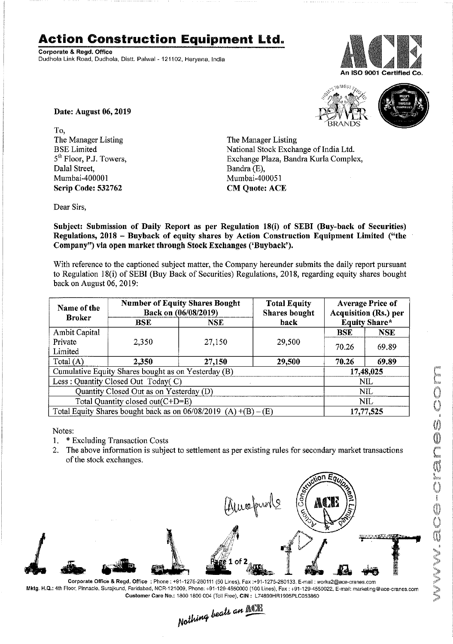## **Action Construction Equipment** Ltd..

Corporate & Regd. Office Dudhola Link Road. Dudhola, Distt. Palwal -121102. Haryana. India





Date: August 06, 2019

To, The Manager Listing BSE Limited 5<sup>th</sup> Floor, P.J. Towers, Dalal Street, Mumbai -400001 Scrip Code: 532762

The Manager Listing National Stock Exchange of India Ltd. Exchange Plaza, Bandra Kurla Complex, Bandra (E), Mumbai-400051 CM Quote: ACE

Dear Sirs,

Subject: Submission of Daily Report as per Regulation 18(i) of SEBI (Buy-back of Securities) Regulations, 2018 - Buyback of equity shares by Action Construction Equipment Limited ("the Company") via open market through Stock Exchanges ('Buyback').

With reference to the captioned subject matter, the Company hereunder submits the daily report pursuant to Regulation 18(i) of SEBI (Buy Back of Securities) Regulations, 2018, regarding equity shares bought back on August 06,2019:

| Name of the<br><b>Broker</b>                                      | <b>Number of Equity Shares Bought</b><br>Back on (06/08/2019) |        | <b>Total Equity</b><br><b>Shares bought</b> | <b>Average Price of</b><br><b>Acquisition (Rs.) per</b> |            |  |
|-------------------------------------------------------------------|---------------------------------------------------------------|--------|---------------------------------------------|---------------------------------------------------------|------------|--|
|                                                                   | $_{\rm BSE}$                                                  | NSE.   | <b>Equity Share*</b><br>back                |                                                         |            |  |
| Ambit Capital                                                     |                                                               |        |                                             | <b>BSE</b>                                              | <b>NSE</b> |  |
| Private                                                           | 2,350                                                         | 27,150 | 29,500                                      | 70.26                                                   | 69.89      |  |
| Limited                                                           |                                                               |        |                                             |                                                         |            |  |
| Total $(A)$                                                       | 2,350                                                         | 27,150 | 29,500                                      | 70.26                                                   | 69.89      |  |
| Cumulative Equity Shares bought as on Yesterday (B)               |                                                               |        |                                             |                                                         | 17,48,025  |  |
| Less: Quantity Closed Out Today(C)                                |                                                               |        |                                             | NII                                                     |            |  |
| Quantity Closed Out as on Yesterday (D)                           |                                                               |        |                                             | <b>NIL</b>                                              |            |  |
| Total Quantity closed out(C+D=E)                                  |                                                               |        |                                             | <b>NIL</b>                                              |            |  |
| Total Equity Shares bought back as on $06/08/2019$ (A) +(B) – (E) |                                                               |        |                                             | 17,77,525                                               |            |  |

Notes:

- 1. \* Excluding Transaction Costs
- 2. The above information is subject to settlement as per existing rules for secondary market transactions of the stock exchanges. .



Corporate Office & Regd. Office: Phone: +91-1275·280111 (50 Lines), Fax:+91·1275·280133, E·mail : works2@ace·cranes.com Mktg. H.Q.: 4th Floor, Pinnacle,Surajkund. Faridabad, NCR·121009. Phone: +91-129-4550000 (iOO Lines), Fax: *+91-129,4550022,* E-mail: marketing@ace-cranes.com

Customer Care No.: 1800 1800 004 (Toll Free), CIN: L74899HR1995PLC053860<br>Nathing beats an **Newli**